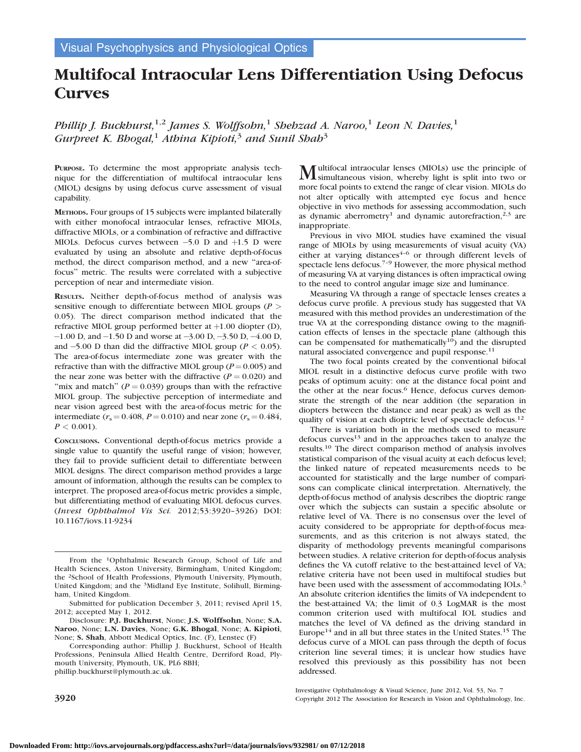# Multifocal Intraocular Lens Differentiation Using Defocus **Curves**

Phillip J. Buckhurst,<sup>1,2</sup> James S. Wolffsohn,<sup>1</sup> Shehzad A. Naroo,<sup>1</sup> Leon N. Davies,<sup>1</sup> Gurpreet K. Bhogal,<sup>1</sup> Athina Kipioti,<sup>3</sup> and Sunil Shah<sup>3</sup>

PURPOSE. To determine the most appropriate analysis technique for the differentiation of multifocal intraocular lens (MIOL) designs by using defocus curve assessment of visual capability.

METHODS. Four groups of 15 subjects were implanted bilaterally with either monofocal intraocular lenses, refractive MIOLs, diffractive MIOLs, or a combination of refractive and diffractive MIOLs. Defocus curves between  $-5.0$  D and  $+1.5$  D were evaluated by using an absolute and relative depth-of-focus method, the direct comparison method, and a new ''area-offocus'' metric. The results were correlated with a subjective perception of near and intermediate vision.

RESULTS. Neither depth-of-focus method of analysis was sensitive enough to differentiate between MIOL groups ( $P >$ 0.05). The direct comparison method indicated that the refractive MIOL group performed better at  $+1.00$  diopter (D),  $-1.00$  D, and  $-1.50$  D and worse at  $-3.00$  D,  $-3.50$  D,  $-4.00$  D, and  $-5.00$  D than did the diffractive MIOL group ( $P < 0.05$ ). The area-of-focus intermediate zone was greater with the refractive than with the diffractive MIOL group ( $P = 0.005$ ) and the near zone was better with the diffractive  $(P = 0.020)$  and "mix and match" ( $P = 0.039$ ) groups than with the refractive MIOL group. The subjective perception of intermediate and near vision agreed best with the area-of-focus metric for the intermediate ( $r_s = 0.408$ ,  $P = 0.010$ ) and near zone ( $r_s = 0.484$ ,  $P < 0.001$ ).

CONCLUSIONS. Conventional depth-of-focus metrics provide a single value to quantify the useful range of vision; however, they fail to provide sufficient detail to differentiate between MIOL designs. The direct comparison method provides a large amount of information, although the results can be complex to interpret. The proposed area-of-focus metric provides a simple, but differentiating method of evaluating MIOL defocus curves. (Invest Ophthalmol Vis Sci. 2012;53:3920–3926) DOI: 10.1167/iovs.11-9234

Disclosure: P.J. Buckhurst, None; J.S. Wolffsohn, None; S.A. Naroo, None; L.N. Davies, None; G.K. Bhogal, None; A. Kipioti, None; S. Shah, Abbott Medical Optics, Inc. (F), Lenstec (F)

Corresponding author: Phillip J. Buckhurst, School of Health Professions, Peninsula Allied Health Centre, Derriford Road, Plymouth University, Plymouth, UK, PL6 8BH; phillip.buckhurst@plymouth.ac.uk.

Multifocal intraocular lenses (MIOLs) use the principle of simultaneous vision, whereby light is split into two or more focal points to extend the range of clear vision. MIOLs do not alter optically with attempted eye focus and hence objective in vivo methods for assessing accommodation, such as dynamic aberrometry<sup>1</sup> and dynamic autorefraction,<sup>2,3</sup> are inappropriate.

Previous in vivo MIOL studies have examined the visual range of MIOLs by using measurements of visual acuity (VA) either at varying distances $4-6$  or through different levels of spectacle lens defocus.7–9 However, the more physical method of measuring VA at varying distances is often impractical owing to the need to control angular image size and luminance.

Measuring VA through a range of spectacle lenses creates a defocus curve profile. A previous study has suggested that VA measured with this method provides an underestimation of the true VA at the corresponding distance owing to the magnification effects of lenses in the spectacle plane (although this can be compensated for mathematically<sup>10</sup>) and the disrupted natural associated convergence and pupil response.<sup>11</sup>

The two focal points created by the conventional bifocal MIOL result in a distinctive defocus curve profile with two peaks of optimum acuity: one at the distance focal point and the other at the near focus.<sup>6</sup> Hence, defocus curves demonstrate the strength of the near addition (the separation in diopters between the distance and near peak) as well as the quality of vision at each dioptric level of spectacle defocus.<sup>12</sup>

There is variation both in the methods used to measure defocus curves<sup>13</sup> and in the approaches taken to analyze the results.<sup>10</sup> The direct comparison method of analysis involves statistical comparison of the visual acuity at each defocus level; the linked nature of repeated measurements needs to be accounted for statistically and the large number of comparisons can complicate clinical interpretation. Alternatively, the depth-of-focus method of analysis describes the dioptric range over which the subjects can sustain a specific absolute or relative level of VA. There is no consensus over the level of acuity considered to be appropriate for depth-of-focus measurements, and as this criterion is not always stated, the disparity of methodology prevents meaningful comparisons between studies. A relative criterion for depth-of-focus analysis defines the VA cutoff relative to the best-attained level of VA; relative criteria have not been used in multifocal studies but have been used with the assessment of accommodating IOLs.<sup>3</sup> An absolute criterion identifies the limits of VA independent to the best-attained VA; the limit of 0.3 LogMAR is the most common criterion used with multifocal IOL studies and matches the level of VA defined as the driving standard in Europe<sup>14</sup> and in all but three states in the United States.<sup>15</sup> The defocus curve of a MIOL can pass through the depth of focus criterion line several times; it is unclear how studies have resolved this previously as this possibility has not been addressed.

Investigative Ophthalmology & Visual Science, June 2012, Vol. 53, No. 7 3920 Copyright 2012 The Association for Research in Vision and Ophthalmology, Inc.

From the 1Ophthalmic Research Group, School of Life and Health Sciences, Aston University, Birmingham, United Kingdom; the 2School of Health Professions, Plymouth University, Plymouth, United Kingdom; and the 3Midland Eye Institute, Solihull, Birmingham, United Kingdom.

Submitted for publication December 3, 2011; revised April 15, 2012; accepted May 1, 2012.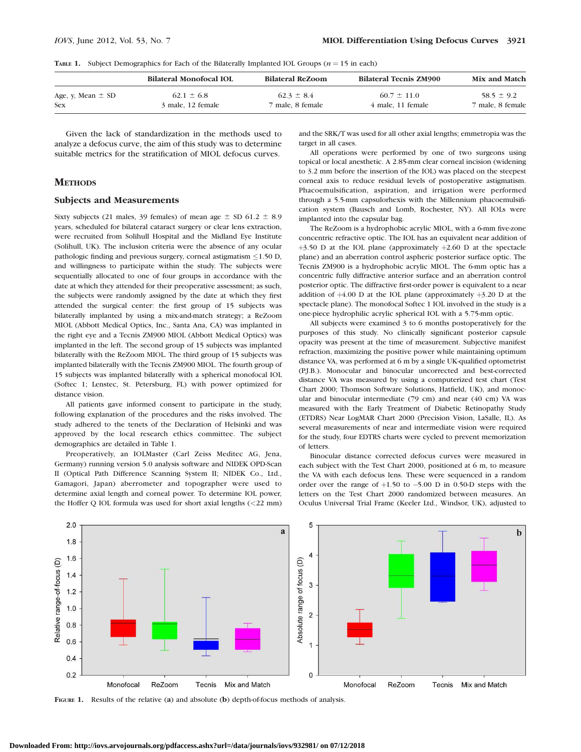**TABLE 1.** Subject Demographics for Each of the Bilaterally Implanted IOL Groups  $(n = 15$  in each)

|                       | <b>Bilateral Monofocal IOL</b> | <b>Bilateral ReZoom</b> | <b>Bilateral Tecnis ZM900</b> | <b>Mix and Match</b> |
|-----------------------|--------------------------------|-------------------------|-------------------------------|----------------------|
| Age, y, Mean $\pm$ SD | $62.1 \pm 6.8$                 | $62.3 \pm 8.4$          | $60.7 \pm 11.0$               | $58.5 \pm 9.2$       |
| <b>Sex</b>            | 3 male, 12 female              | 7 male, 8 female        | 4 male, 11 female             | 7 male, 8 female     |

Given the lack of standardization in the methods used to analyze a defocus curve, the aim of this study was to determine suitable metrics for the stratification of MIOL defocus curves.

## **METHODS**

#### Subjects and Measurements

Sixty subjects (21 males, 39 females) of mean age  $\pm$  SD 61.2  $\pm$  8.9 years, scheduled for bilateral cataract surgery or clear lens extraction, were recruited from Solihull Hospital and the Midland Eye Institute (Solihull, UK). The inclusion criteria were the absence of any ocular pathologic finding and previous surgery, corneal astigmatism  $\leq$ 1.50 D, and willingness to participate within the study. The subjects were sequentially allocated to one of four groups in accordance with the date at which they attended for their preoperative assessment; as such, the subjects were randomly assigned by the date at which they first attended the surgical center: the first group of 15 subjects was bilaterally implanted by using a mix-and-match strategy; a ReZoom MIOL (Abbott Medical Optics, Inc., Santa Ana, CA) was implanted in the right eye and a Tecnis ZM900 MIOL (Abbott Medical Optics) was implanted in the left. The second group of 15 subjects was implanted bilaterally with the ReZoom MIOL. The third group of 15 subjects was implanted bilaterally with the Tecnis ZM900 MIOL. The fourth group of 15 subjects was implanted bilaterally with a spherical monofocal IOL (Softec 1; Lenstec, St. Petersburg, FL) with power optimized for distance vision.

All patients gave informed consent to participate in the study, following explanation of the procedures and the risks involved. The study adhered to the tenets of the Declaration of Helsinki and was approved by the local research ethics committee. The subject demographics are detailed in Table 1.

Preoperatively, an IOLMaster (Carl Zeiss Meditec AG, Jena, Germany) running version 5.0 analysis software and NIDEK OPD-Scan II (Optical Path Difference Scanning System II; NIDEK Co., Ltd., Gamagori, Japan) aberrometer and topographer were used to determine axial length and corneal power. To determine IOL power, the Hoffer Q IOL formula was used for short axial lengths (<22 mm) and the SRK/T was used for all other axial lengths; emmetropia was the target in all cases.

All operations were performed by one of two surgeons using topical or local anesthetic. A 2.85-mm clear corneal incision (widening to 3.2 mm before the insertion of the IOL) was placed on the steepest corneal axis to reduce residual levels of postoperative astigmatism. Phacoemulsification, aspiration, and irrigation were performed through a 5.5-mm capsulorhexis with the Millennium phacoemulsification system (Bausch and Lomb, Rochester, NY). All IOLs were implanted into the capsular bag.

The ReZoom is a hydrophobic acrylic MIOL, with a 6-mm five-zone concentric refractive optic. The IOL has an equivalent near addition of  $+3.50$  D at the IOL plane (approximately  $+2.60$  D at the spectacle plane) and an aberration control aspheric posterior surface optic. The Tecnis ZM900 is a hydrophobic acrylic MIOL. The 6-mm optic has a concentric fully diffractive anterior surface and an aberration control posterior optic. The diffractive first-order power is equivalent to a near addition of  $+4.00$  D at the IOL plane (approximately  $+3.20$  D at the spectacle plane). The monofocal Softec 1 IOL involved in the study is a one-piece hydrophilic acrylic spherical IOL with a 5.75-mm optic.

All subjects were examined 3 to 6 months postoperatively for the purposes of this study. No clinically significant posterior capsule opacity was present at the time of measurement. Subjective manifest refraction, maximizing the positive power while maintaining optimum distance VA, was performed at 6 m by a single UK-qualified optometrist (P.J.B.). Monocular and binocular uncorrected and best-corrected distance VA was measured by using a computerized test chart (Test Chart 2000; Thomson Software Solutions, Hatfield, UK), and monocular and binocular intermediate (79 cm) and near (40 cm) VA was measured with the Early Treatment of Diabetic Retinopathy Study (ETDRS) Near LogMAR Chart 2000 (Precision Vision, LaSalle, IL). As several measurements of near and intermediate vision were required for the study, four EDTRS charts were cycled to prevent memorization of letters.

Binocular distance corrected defocus curves were measured in each subject with the Test Chart 2000, positioned at 6 m, to measure the VA with each defocus lens. These were sequenced in a random order over the range of  $+1.50$  to  $-5.00$  D in 0.50-D steps with the letters on the Test Chart 2000 randomized between measures. An Oculus Universal Trial Frame (Keeler Ltd., Windsor, UK), adjusted to



FIGURE 1. Results of the relative (a) and absolute (b) depth-of-focus methods of analysis.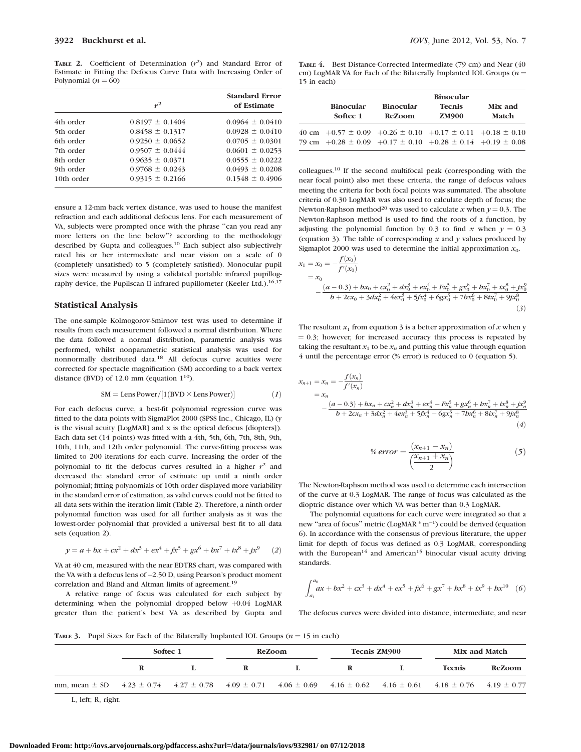TABLE 2. Coefficient of Determination  $(r^2)$  and Standard Error of Estimate in Fitting the Defocus Curve Data with Increasing Order of Polynomial ( $n = 60$ )

|            | $r^2$               | <b>Standard Error</b><br>of Estimate |  |  |
|------------|---------------------|--------------------------------------|--|--|
| 4th order  | $0.8197 \pm 0.1404$ | $0.0964 \pm 0.0410$                  |  |  |
| 5th order  | $0.8458 \pm 0.1317$ | $0.0928 \pm 0.0410$                  |  |  |
| 6th order  | $0.9250 \pm 0.0652$ | $0.0705 \pm 0.0301$                  |  |  |
| 7th order  | $0.9507 \pm 0.0444$ | $0.0601 \pm 0.0253$                  |  |  |
| 8th order  | $0.9635 \pm 0.0371$ | $0.0555 \pm 0.0222$                  |  |  |
| 9th order  | $0.9768 \pm 0.0243$ | $0.0493 \pm 0.0208$                  |  |  |
| 10th order | $0.9315 \pm 0.2166$ | $0.1548 \pm 0.4906$                  |  |  |
|            |                     |                                      |  |  |

ensure a 12-mm back vertex distance, was used to house the manifest refraction and each additional defocus lens. For each measurement of VA, subjects were prompted once with the phrase ''can you read any more letters on the line below''? according to the methodology described by Gupta and colleagues.<sup>10</sup> Each subject also subjectively rated his or her intermediate and near vision on a scale of 0 (completely unsatisfied) to 5 (completely satisfied). Monocular pupil sizes were measured by using a validated portable infrared pupillography device, the Pupilscan II infrared pupillometer (Keeler Ltd.).<sup>16,17</sup>

#### Statistical Analysis

The one-sample Kolmogorov-Smirnov test was used to determine if results from each measurement followed a normal distribution. Where the data followed a normal distribution, parametric analysis was performed, whilst nonparametric statistical analysis was used for nonnormally distributed data.<sup>18</sup> All defocus curve acuities were corrected for spectacle magnification (SM) according to a back vertex distance (BVD) of 12.0 mm (equation  $1^{10}$ ).

$$
SM = Lens Power/[1(BVD \times Lens Power)] \tag{1}
$$

For each defocus curve, a best-fit polynomial regression curve was fitted to the data points with SigmaPlot 2000 (SPSS Inc., Chicago, IL) (y is the visual acuity [LogMAR] and x is the optical defocus [diopters]). Each data set (14 points) was fitted with a 4th, 5th, 6th, 7th, 8th, 9th, 10th, 11th, and 12th order polynomial. The curve-fitting process was limited to 200 iterations for each curve. Increasing the order of the polynomial to fit the defocus curves resulted in a higher  $r^2$  and decreased the standard error of estimate up until a ninth order polynomial; fitting polynomials of 10th order displayed more variability in the standard error of estimation, as valid curves could not be fitted to all data sets within the iteration limit (Table 2). Therefore, a ninth order polynomial function was used for all further analysis as it was the lowest-order polynomial that provided a universal best fit to all data sets (equation 2).

$$
y = a + bx + cx^{2} + dx^{3} + ex^{4} + fx^{5} + gx^{6} + bx^{7} + ix^{8} + ix^{9}
$$
 (2)

VA at 40 cm, measured with the near EDTRS chart, was compared with the VA with a defocus lens of-2.50 D, using Pearson's product moment correlation and Bland and Altman limits of agreement.19

A relative range of focus was calculated for each subject by determining when the polynomial dropped below  $+0.04$  LogMAR greater than the patient's best VA as described by Gupta and

TABLE 4. Best Distance-Corrected Intermediate (79 cm) and Near (40 cm) LogMAR VA for Each of the Bilaterally Implanted IOL Groups ( $n =$ 15 in each)

| <b>Binocular</b><br>Softec 1 | <b>Binocular</b><br><b>ReZoom</b>                                                                                                                | <b>Binocular</b><br><b>Tecnis</b><br><b>ZM900</b> | Mix and<br>Match |  |
|------------------------------|--------------------------------------------------------------------------------------------------------------------------------------------------|---------------------------------------------------|------------------|--|
|                              | 40 cm $+0.57 \pm 0.09 +0.26 \pm 0.10 +0.17 \pm 0.11 +0.18 \pm 0.10$<br>79 cm $+0.28 \pm 0.09$ $+0.17 \pm 0.10$ $+0.28 \pm 0.14$ $+0.19 \pm 0.08$ |                                                   |                  |  |

colleagues.<sup>10</sup> If the second multifocal peak (corresponding with the near focal point) also met these criteria, the range of defocus values meeting the criteria for both focal points was summated. The absolute criteria of 0.30 LogMAR was also used to calculate depth of focus; the Newton-Raphson method<sup>20</sup> was used to calculate x when  $y = 0.3$ . The Newton-Raphson method is used to find the roots of a function, by adjusting the polynomial function by 0.3 to find x when  $y = 0.3$ (equation 3). The table of corresponding  $x$  and  $y$  values produced by Sigmaplot 2000 was used to determine the initial approximation  $x_0$ .

$$
x_1 = x_0 = -\frac{f(x_0)}{f'(x_0)}
$$
  
=  $x_0$   

$$
-\frac{(a-0.3) + bx_0 + cx_0^2 + dx_0^3 + ex_0^4 + Fx_0^5 + gx_0^6 + bx_0^7 + ix_0^8 + jx_0^8}{b + 2cx_0 + 3dx_0^2 + 4ex_0^3 + 5fx_0^4 + 6gx_0^5 + 7bx_0^6 + 8ix_0^7 + 9jx_0^8}
$$
(3)

The resultant  $x_1$  from equation 3 is a better approximation of x when y  $= 0.3$ ; however, for increased accuracy this process is repeated by taking the resultant  $x_1$  to be  $x_n$  and putting this value through equation 4 until the percentage error (% error) is reduced to 0 (equation 5).

$$
x_{n+1} = x_n = -\frac{f(x_n)}{f'(x_n)}
$$
  
=  $x_n$   

$$
-\frac{(a-0.3) + bx_n + cx_n^2 + dx_n^3 + ex_n^4 + Ex_n^5 + gx_n^6 + bx_n^7 + ix_n^8 + jx_n^9}{b + 2cx_n + 3dx_n^2 + 4ex_n^3 + 5fx_n^4 + 6gx_n^5 + 7bx_n^6 + 8ix_n^7 + 9jx_n^8}
$$
  
(4)

% error = 
$$
\frac{(x_{n+1} - x_n)}{\frac{(x_{n+1} + x_n)}{2}}
$$
 (5)

The Newton-Raphson method was used to determine each intersection of the curve at 0.3 LogMAR. The range of focus was calculated as the dioptric distance over which VA was better than 0.3 LogMAR.

The polynomial equations for each curve were integrated so that a new "area of focus" metric (LogMAR \* m<sup>-1</sup>) could be derived (equation 6). In accordance with the consensus of previous literature, the upper limit for depth of focus was defined as 0.3 LogMAR, corresponding with the European<sup>14</sup> and American<sup>15</sup> binocular visual acuity driving standards.

$$
\int_{a_1}^{a_0} ax + bx^2 + cx^3 + dx^4 + ex^5 + fx^6 + gx^7 + bx^8 + ix^9 + bx^{10} \quad (6)
$$

The defocus curves were divided into distance, intermediate, and near

**TABLE 3.** Pupil Sizes for Each of the Bilaterally Implanted IOL Groups  $(n = 15$  in each)

|                                                                                                                                                                                                   | Softec 1 |  | ReZoom |  | <b>Tecnis ZM900</b> |  | Mix and Match |               |
|---------------------------------------------------------------------------------------------------------------------------------------------------------------------------------------------------|----------|--|--------|--|---------------------|--|---------------|---------------|
|                                                                                                                                                                                                   |          |  | R      |  | R                   |  | <b>Tecnis</b> | <b>ReZoom</b> |
| mm, mean $\pm$ SD $\pm$ 4.23 $\pm$ 0.74 $\pm$ 4.27 $\pm$ 0.78 $\pm$ 4.09 $\pm$ 0.71 $\pm$ 4.06 $\pm$ 0.69 $\pm$ 4.16 $\pm$ 0.62 $\pm$ 4.16 $\pm$ 0.61 $\pm$ 4.18 $\pm$ 0.76 $\pm$ 4.19 $\pm$ 0.77 |          |  |        |  |                     |  |               |               |

L, left; R, right.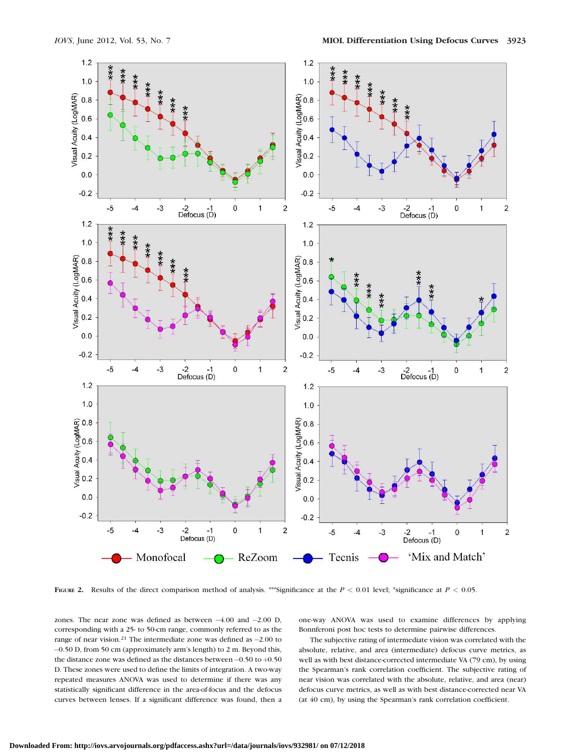

FIGURE 2. Results of the direct comparison method of analysis. \*\*\*Significance at the  $P < 0.01$  level; \*significance at  $P < 0.05$ .

zones. The near zone was defined as between  $-4.00$  and  $-2.00$  D, corresponding with a 25- to 50-cm range, commonly referred to as the range of near vision.<sup>21</sup> The intermediate zone was defined as  $-2.00$  to -0.50 D, from 50 cm (approximately arm's length) to 2 m. Beyond this, the distance zone was defined as the distances between  $-0.50$  to  $+0.50$ D. These zones were used to define the limits of integration. A two-way repeated measures ANOVA was used to determine if there was any statistically significant difference in the area-of-focus and the defocus curves between lenses. If a significant difference was found, then a one-way ANOVA was used to examine differences by applying Bonnferoni post hoc tests to determine pairwise differences.

The subjective rating of intermediate vision was correlated with the absolute, relative, and area (intermediate) defocus curve metrics, as well as with best distance-corrected intermediate VA (79 cm), by using the Spearman's rank correlation coefficient. The subjective rating of near vision was correlated with the absolute, relative, and area (near) defocus curve metrics, as well as with best distance-corrected near VA (at 40 cm), by using the Spearman's rank correlation coefficient.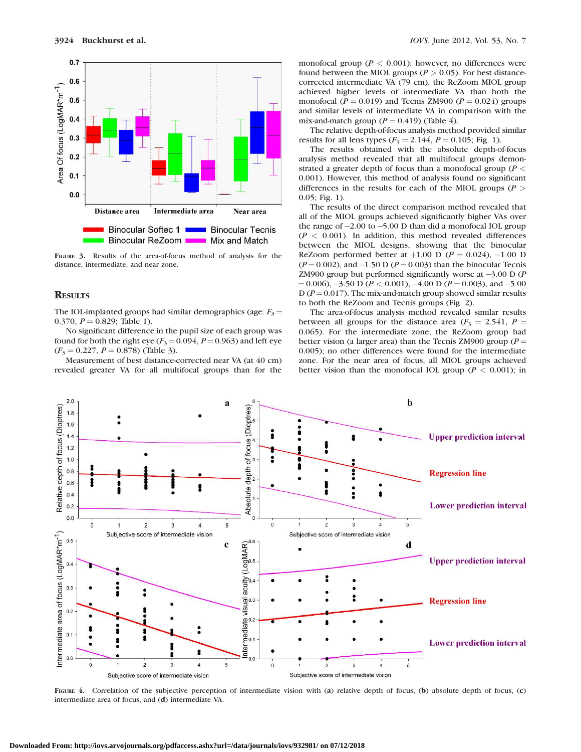

FIGURE 3. Results of the area-of-focus method of analysis for the distance, intermediate, and near zone.

#### **RESULTS**

The IOL-implanted groups had similar demographics (age:  $F_3$  = 0.370,  $P = 0.829$ ; Table 1).

No significant difference in the pupil size of each group was found for both the right eye ( $F_3$  = 0.094, P = 0.963) and left eye  $(F_3 = 0.227, P = 0.878)$  (Table 3).

Measurement of best distance-corrected near VA (at 40 cm) revealed greater VA for all multifocal groups than for the monofocal group ( $P < 0.001$ ); however, no differences were found between the MIOL groups ( $P > 0.05$ ). For best distancecorrected intermediate VA (79 cm), the ReZoom MIOL group achieved higher levels of intermediate VA than both the monofocal ( $P = 0.019$ ) and Tecnis ZM900 ( $P = 0.024$ ) groups and similar levels of intermediate VA in comparison with the mix-and-match group ( $P = 0.419$ ) (Table 4).

The relative depth-of-focus analysis method provided similar results for all lens types ( $F_3 = 2.144$ ,  $P = 0.105$ ; Fig. 1).

The results obtained with the absolute depth-of-focus analysis method revealed that all multifocal groups demonstrated a greater depth of focus than a monofocal group ( $P <$ 0.001). However, this method of analysis found no significant differences in the results for each of the MIOL groups ( $P >$ 0.05; Fig. 1).

The results of the direct comparison method revealed that all of the MIOL groups achieved significantly higher VAs over the range of -2.00 to -5.00 D than did a monofocal IOL group  $(P < 0.001)$ . In addition, this method revealed differences between the MIOL designs, showing that the binocular ReZoom performed better at  $+1.00$  D ( $P = 0.024$ ),  $-1.00$  D  $(P=0.002)$ , and  $-1.50$  D  $(P=0.003)$  than the binocular Tecnis ZM900 group but performed significantly worse at  $-3.00$  D (P  $(1.006)$ ,  $-3.50$  D ( $P < 0.001$ ),  $-4.00$  D ( $P = 0.003$ ), and  $-5.00$ D ( $P = 0.017$ ). The mix-and-match group showed similar results to both the ReZoom and Tecnis groups (Fig. 2).

The area-of-focus analysis method revealed similar results between all groups for the distance area ( $F_3 = 2.541$ ,  $P =$ 0.065). For the intermediate zone, the ReZoom group had better vision (a larger area) than the Tecnis ZM900 group ( $P =$ 0.005); no other differences were found for the intermediate zone. For the near area of focus, all MIOL groups achieved better vision than the monofocal IOL group ( $P < 0.001$ ); in



FIGURE 4. Correlation of the subjective perception of intermediate vision with (a) relative depth of focus, (b) absolute depth of focus, (c) intermediate area of focus, and (d) intermediate VA.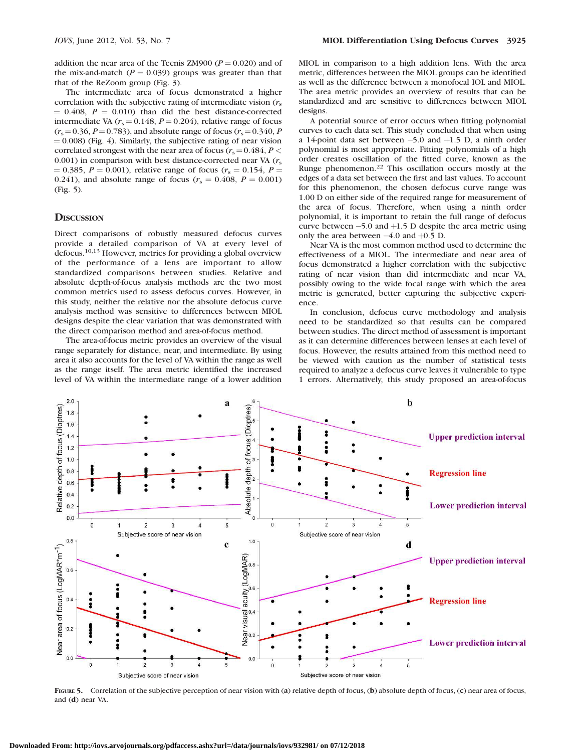addition the near area of the Tecnis ZM900 ( $P = 0.020$ ) and of the mix-and-match ( $P = 0.039$ ) groups was greater than that that of the ReZoom group (Fig. 3).

The intermediate area of focus demonstrated a higher correlation with the subjective rating of intermediate vision  $(r<sub>s</sub>$  $= 0.408$ ,  $P = 0.010$ ) than did the best distance-corrected intermediate VA ( $r_s = 0.148$ ,  $P = 0.204$ ), relative range of focus  $(r_s = 0.36, P = 0.783)$ , and absolute range of focus  $(r_s = 0.340, P)$  $(0.008)$  (Fig. 4). Similarly, the subjective rating of near vision correlated strongest with the near area of focus ( $r_s = 0.484$ ,  $P <$ 0.001) in comparison with best distance-corrected near VA  $(r<sub>s</sub>$  $= 0.385, P = 0.001$ , relative range of focus ( $r_s = 0.154, P =$ 0.241), and absolute range of focus ( $r_s = 0.408$ ,  $P = 0.001$ ) (Fig. 5).

## **DISCUSSION**

Direct comparisons of robustly measured defocus curves provide a detailed comparison of VA at every level of defocus.10,13 However, metrics for providing a global overview of the performance of a lens are important to allow standardized comparisons between studies. Relative and absolute depth-of-focus analysis methods are the two most common metrics used to assess defocus curves. However, in this study, neither the relative nor the absolute defocus curve analysis method was sensitive to differences between MIOL designs despite the clear variation that was demonstrated with the direct comparison method and area-of-focus method.

The area-of-focus metric provides an overview of the visual range separately for distance, near, and intermediate. By using area it also accounts for the level of VA within the range as well as the range itself. The area metric identified the increased level of VA within the intermediate range of a lower addition MIOL in comparison to a high addition lens. With the area metric, differences between the MIOL groups can be identified as well as the difference between a monofocal IOL and MIOL. The area metric provides an overview of results that can be standardized and are sensitive to differences between MIOL designs.

A potential source of error occurs when fitting polynomial curves to each data set. This study concluded that when using a 14-point data set between  $-5.0$  and  $+1.5$  D, a ninth order polynomial is most appropriate. Fitting polynomials of a high order creates oscillation of the fitted curve, known as the Runge phenomenon.<sup>22</sup> This oscillation occurs mostly at the edges of a data set between the first and last values. To account for this phenomenon, the chosen defocus curve range was 1.00 D on either side of the required range for measurement of the area of focus. Therefore, when using a ninth order polynomial, it is important to retain the full range of defocus curve between  $-5.0$  and  $+1.5$  D despite the area metric using only the area between  $-4.0$  and  $+0.5$  D.

Near VA is the most common method used to determine the effectiveness of a MIOL. The intermediate and near area of focus demonstrated a higher correlation with the subjective rating of near vision than did intermediate and near VA, possibly owing to the wide focal range with which the area metric is generated, better capturing the subjective experience.

In conclusion, defocus curve methodology and analysis need to be standardized so that results can be compared between studies. The direct method of assessment is important as it can determine differences between lenses at each level of focus. However, the results attained from this method need to be viewed with caution as the number of statistical tests required to analyze a defocus curve leaves it vulnerable to type 1 errors. Alternatively, this study proposed an area-of-focus



FIGURE 5. Correlation of the subjective perception of near vision with (a) relative depth of focus, (b) absolute depth of focus, (c) near area of focus, and (d) near VA.